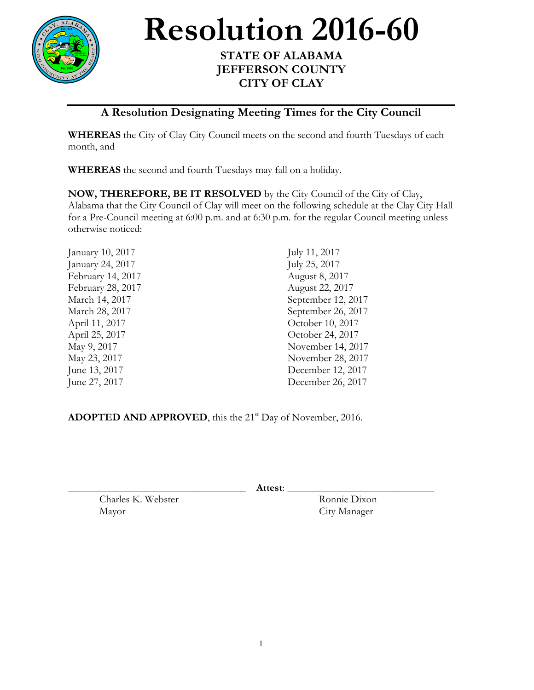

**Resolution** 2016-60

## **JEFFERSON COUNTY CITY OF CLAY**

## **A Resolution Designating Meeting Times for the City Council**

**WHEREAS** the City of Clay City Council meets on the second and fourth Tuesdays of each month, and

**WHEREAS** the second and fourth Tuesdays may fall on a holiday.

**NOW, THEREFORE, BE IT RESOLVED** by the City Council of the City of Clay, Alabama that the City Council of Clay will meet on the following schedule at the Clay City Hall for a Pre-Council meeting at 6:00 p.m. and at 6:30 p.m. for the regular Council meeting unless otherwise noticed:

| January 10, 2017  | July 11, 2017      |
|-------------------|--------------------|
| January 24, 2017  | July 25, 2017      |
| February 14, 2017 | August 8, 2017     |
| February 28, 2017 | August 22, 2017    |
| March 14, 2017    | September 12, 2017 |
| March 28, 2017    | September 26, 2017 |
| April 11, 2017    | October 10, 2017   |
| April 25, 2017    | October 24, 2017   |
| May 9, 2017       | November 14, 2017  |
| May 23, 2017      | November 28, 2017  |
| June 13, 2017     | December 12, 2017  |
| June 27, 2017     | December 26, 2017  |
|                   |                    |

ADOPTED AND APPROVED, this the 21<sup>st</sup> Day of November, 2016.

\_\_\_\_\_\_\_\_\_\_\_\_\_\_\_\_\_\_\_\_\_\_\_\_\_\_\_\_\_\_\_\_\_\_ **Attest**: \_\_\_\_\_\_\_\_\_\_\_\_\_\_\_\_\_\_\_\_\_\_\_\_\_\_\_\_

Charles K. Webster Ronnie Dixon Mayor City Manager